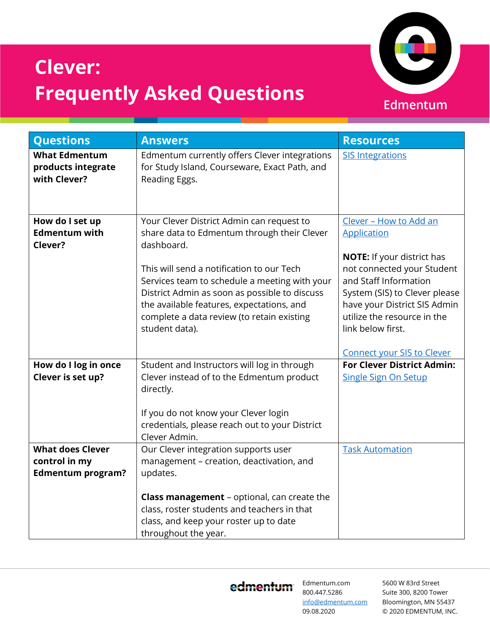

## **Clever: Frequently Asked Questions**

| <b>Questions</b>                                                     | <b>Answers</b>                                                                                                                                                                                                                                                                                                                                                     | <b>Resources</b>                                                                                                                                                                                                                                                                            |
|----------------------------------------------------------------------|--------------------------------------------------------------------------------------------------------------------------------------------------------------------------------------------------------------------------------------------------------------------------------------------------------------------------------------------------------------------|---------------------------------------------------------------------------------------------------------------------------------------------------------------------------------------------------------------------------------------------------------------------------------------------|
| <b>What Edmentum</b><br>products integrate<br>with Clever?           | Edmentum currently offers Clever integrations<br>for Study Island, Courseware, Exact Path, and<br>Reading Eggs.                                                                                                                                                                                                                                                    | <b>SIS Integrations</b>                                                                                                                                                                                                                                                                     |
| How do I set up<br><b>Edmentum with</b><br>Clever?                   | Your Clever District Admin can request to<br>share data to Edmentum through their Clever<br>dashboard.<br>This will send a notification to our Tech<br>Services team to schedule a meeting with your<br>District Admin as soon as possible to discuss<br>the available features, expectations, and<br>complete a data review (to retain existing<br>student data). | Clever - How to Add an<br>Application<br><b>NOTE:</b> If your district has<br>not connected your Student<br>and Staff Information<br>System (SIS) to Clever please<br>have your District SIS Admin<br>utilize the resource in the<br>link below first.<br><b>Connect your SIS to Clever</b> |
| How do I log in once<br>Clever is set up?                            | Student and Instructors will log in through<br>Clever instead of to the Edmentum product<br>directly.<br>If you do not know your Clever login<br>credentials, please reach out to your District<br>Clever Admin.                                                                                                                                                   | <b>For Clever District Admin:</b><br><b>Single Sign On Setup</b>                                                                                                                                                                                                                            |
| <b>What does Clever</b><br>control in my<br><b>Edmentum program?</b> | Our Clever integration supports user<br>management - creation, deactivation, and<br>updates.<br><b>Class management</b> - optional, can create the<br>class, roster students and teachers in that<br>class, and keep your roster up to date<br>throughout the year.                                                                                                | <b>Task Automation</b>                                                                                                                                                                                                                                                                      |

edmentum

Edmentum.com 800.447.5286 [info@edmentum.com](mailto:info@edmentum.com) 09.08.2020

5600 W 83rd Street Suite 300, 8200 Tower Bloomington, MN 55437 © 2020 EDMENTUM, INC.